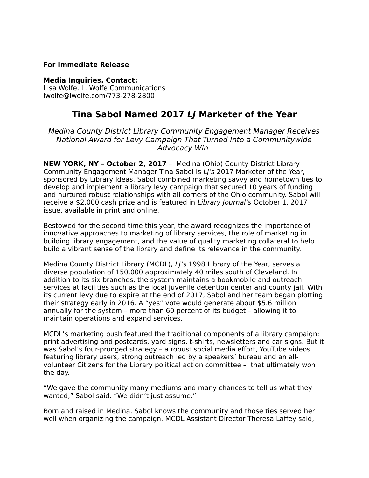### **For Immediate Release**

#### **Media Inquiries, Contact:**

Lisa Wolfe, L. Wolfe Communications lwolfe@lwolfe.com/773-278-2800

# **Tina Sabol Named 2017 LJ Marketer of the Year**

Medina County District Library Community Engagement Manager Receives National Award for Levy Campaign That Turned Into a Communitywide Advocacy Win

**NEW YORK, NY – October 2, 2017** – Medina (Ohio) County District Library Community Engagement Manager Tina Sabol is LI's 2017 Marketer of the Year, sponsored by Library Ideas. Sabol combined marketing savvy and hometown ties to develop and implement a library levy campaign that secured 10 years of funding and nurtured robust relationships with all corners of the Ohio community. Sabol will receive a \$2,000 cash prize and is featured in Library Journal's October 1, 2017 issue, available in print and online.

Bestowed for the second time this year, the award recognizes the importance of innovative approaches to marketing of library services, the role of marketing in building library engagement, and the value of quality marketing collateral to help build a vibrant sense of the library and define its relevance in the community.

Medina County District Library (MCDL), LJ's 1998 Library of the Year, serves a diverse population of 150,000 approximately 40 miles south of Cleveland. In addition to its six branches, the system maintains a bookmobile and outreach services at facilities such as the local juvenile detention center and county jail. With its current levy due to expire at the end of 2017, Sabol and her team began plotting their strategy early in 2016. A "yes" vote would generate about \$5.6 million annually for the system – more than 60 percent of its budget – allowing it to maintain operations and expand services.

MCDL's marketing push featured the traditional components of a library campaign: print advertising and postcards, yard signs, t-shirts, newsletters and car signs. But it was Sabol's four-pronged strategy – a robust social media effort, YouTube videos featuring library users, strong outreach led by a speakers' bureau and an allvolunteer Citizens for the Library political action committee – that ultimately won the day.

"We gave the community many mediums and many chances to tell us what they wanted," Sabol said. "We didn't just assume."

Born and raised in Medina, Sabol knows the community and those ties served her well when organizing the campaign. MCDL Assistant Director Theresa Laffey said,